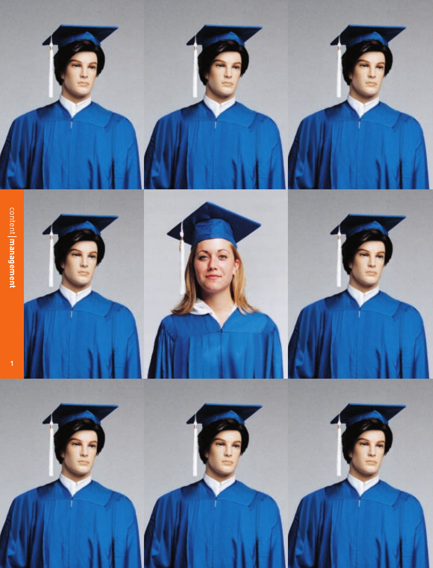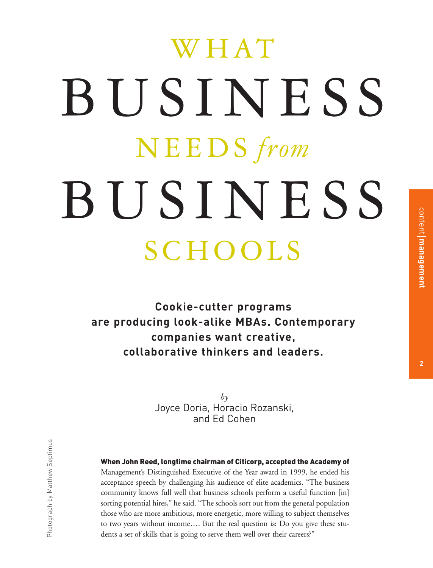# WHAT BUSINESS NEEDS *from* BUSINESS SCHOOLS

**Cookie-cutter programs are producing look-alike MBAs. Contemporary companies want creative, collaborative thinkers and leaders.**

> *by* Joyce Doria, Horacio Rozanski, and Ed Cohen

## When John Reed, longtime chairman of Citicorp, accepted the Academy of

Management's Distinguished Executive of the Year award in 1999, he ended his acceptance speech by challenging his audience of elite academics. "The business community knows full well that business schools perform a useful function [in] sorting potential hires," he said. "The schools sort out from the general population those who are more ambitious, more energetic, more willing to subject themselves to two years without income…. But the real question is: Do you give these students a set of skills that is going to serve them well over their careers?"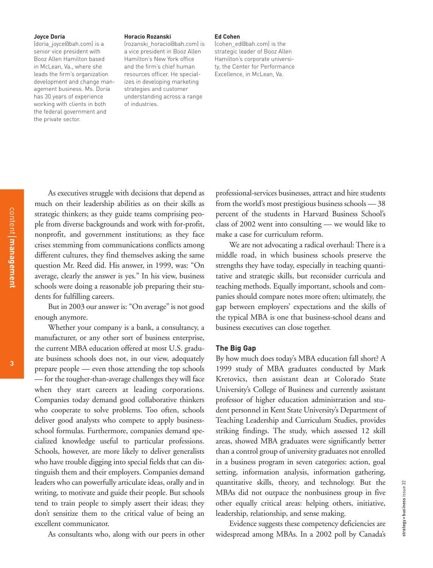### **Joyce Doria**

(doria\_joyce@bah.com) is a senior vice president with Booz Allen Hamilton based in McLean, Va., where she leads the firm's organization development and change management business. Ms. Doria has 30 years of experience working with clients in both the federal government and the private sector.

#### **Horacio Rozanski**

(rozanski\_horacio@bah.com) is a vice president in Booz Allen Hamilton's New York office and the firm's chief human resources officer. He specializes in developing marketing strategies and customer understanding across a range of industries.

#### **Ed Cohen**

(cohen\_ed@bah.com) is the strategic leader of Booz Allen Hamilton's corporate university, the Center for Performance Excellence, in McLean, Va.

As executives struggle with decisions that depend as much on their leadership abilities as on their skills as strategic thinkers; as they guide teams comprising people from diverse backgrounds and work with for-profit, nonprofit, and government institutions; as they face crises stemming from communications conflicts among different cultures, they find themselves asking the same question Mr. Reed did. His answer, in 1999, was: "On average, clearly the answer is yes." In his view, business schools were doing a reasonable job preparing their students for fulfilling careers.

But in 2003 our answer is: "On average" is not good enough anymore.

Whether your company is a bank, a consultancy, a manufacturer, or any other sort of business enterprise, the current MBA education offered at most U.S. graduate business schools does not, in our view, adequately prepare people — even those attending the top schools — for the tougher-than-average challenges they will face when they start careers at leading corporations. Companies today demand good collaborative thinkers who cooperate to solve problems. Too often, schools deliver good analysts who compete to apply businessschool formulas. Furthermore, companies demand specialized knowledge useful to particular professions. Schools, however, are more likely to deliver generalists who have trouble digging into special fields that can distinguish them and their employers. Companies demand leaders who can powerfully articulate ideas, orally and in writing, to motivate and guide their people. But schools tend to train people to simply assert their ideas; they don't sensitize them to the critical value of being an excellent communicator.

As consultants who, along with our peers in other

professional-services businesses, attract and hire students from the world's most prestigious business schools — 38 percent of the students in Harvard Business School's class of 2002 went into consulting — we would like to make a case for curriculum reform.

We are not advocating a radical overhaul: There is a middle road, in which business schools preserve the strengths they have today, especially in teaching quantitative and strategic skills, but reconsider curricula and teaching methods. Equally important, schools and companies should compare notes more often; ultimately, the gap between employers' expectations and the skills of the typical MBA is one that business-school deans and business executives can close together.

## **The Big Gap**

By how much does today's MBA education fall short? A 1999 study of MBA graduates conducted by Mark Kretovics, then assistant dean at Colorado State University's College of Business and currently assistant professor of higher education administration and student personnel in Kent State University's Department of Teaching Leadership and Curriculum Studies, provides striking findings. The study, which assessed 12 skill areas, showed MBA graduates were significantly better than a control group of university graduates not enrolled in a business program in seven categories: action, goal setting, information analysis, information gathering, quantitative skills, theory, and technology. But the MBAs did not outpace the nonbusiness group in five other equally critical areas: helping others, initiative, leadership, relationship, and sense making.

Evidence suggests these competency deficiencies are widespread among MBAs. In a 2002 poll by Canada's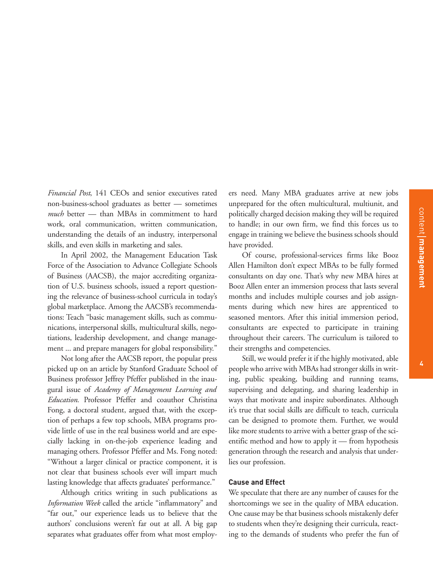*Financial Post*, 141 CEOs and senior executives rated non-business-school graduates as better — sometimes *much* better — than MBAs in commitment to hard work, oral communication, written communication, understanding the details of an industry, interpersonal skills, and even skills in marketing and sales.

In April 2002, the Management Education Task Force of the Association to Advance Collegiate Schools of Business (AACSB), the major accrediting organization of U.S. business schools, issued a report questioning the relevance of business-school curricula in today's global marketplace. Among the AACSB's recommendations: Teach "basic management skills, such as communications, interpersonal skills, multicultural skills, negotiations, leadership development, and change management ... and prepare managers for global responsibility."

Not long after the AACSB report, the popular press picked up on an article by Stanford Graduate School of Business professor Jeffrey Pfeffer published in the inaugural issue of *Academy of Management Learning and Education*. Professor Pfeffer and coauthor Christina Fong, a doctoral student, argued that, with the exception of perhaps a few top schools, MBA programs provide little of use in the real business world and are especially lacking in on-the-job experience leading and managing others. Professor Pfeffer and Ms. Fong noted: "Without a larger clinical or practice component, it is not clear that business schools ever will impart much lasting knowledge that affects graduates' performance."

Although critics writing in such publications as *Information Week* called the article "inflammatory" and "far out," our experience leads us to believe that the authors' conclusions weren't far out at all. A big gap separates what graduates offer from what most employers need. Many MBA graduates arrive at new jobs unprepared for the often multicultural, multiunit, and politically charged decision making they will be required to handle; in our own firm, we find this forces us to engage in training we believe the business schools should have provided.

Of course, professional-services firms like Booz Allen Hamilton don't expect MBAs to be fully formed consultants on day one. That's why new MBA hires at Booz Allen enter an immersion process that lasts several months and includes multiple courses and job assignments during which new hires are apprenticed to seasoned mentors. After this initial immersion period, consultants are expected to participate in training throughout their careers. The curriculum is tailored to their strengths and competencies.

Still, we would prefer it if the highly motivated, able people who arrive with MBAs had stronger skills in writing, public speaking, building and running teams, supervising and delegating, and sharing leadership in ways that motivate and inspire subordinates. Although it's true that social skills are difficult to teach, curricula can be designed to promote them. Further, we would like more students to arrive with a better grasp of the scientific method and how to apply it — from hypothesis generation through the research and analysis that underlies our profession.

## **Cause and Effect**

We speculate that there are any number of causes for the shortcomings we see in the quality of MBA education. One cause may be that business schools mistakenly defer to students when they're designing their curricula, reacting to the demands of students who prefer the fun of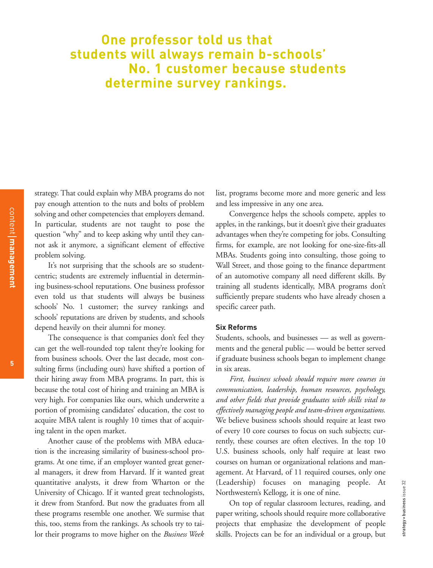# **One professor told us that students will always remain b-schools' No. 1 customer because students determine survey rankings.**

strategy. That could explain why MBA programs do not pay enough attention to the nuts and bolts of problem solving and other competencies that employers demand. In particular, students are not taught to pose the question "why" and to keep asking why until they cannot ask it anymore, a significant element of effective problem solving.

It's not surprising that the schools are so studentcentric; students are extremely influential in determining business-school reputations. One business professor even told us that students will always be business schools' No. 1 customer; the survey rankings and schools' reputations are driven by students, and schools depend heavily on their alumni for money.

The consequence is that companies don't feel they can get the well-rounded top talent they're looking for from business schools. Over the last decade, most consulting firms (including ours) have shifted a portion of their hiring away from MBA programs. In part, this is because the total cost of hiring and training an MBA is very high. For companies like ours, which underwrite a portion of promising candidates' education, the cost to acquire MBA talent is roughly 10 times that of acquiring talent in the open market.

Another cause of the problems with MBA education is the increasing similarity of business-school programs. At one time, if an employer wanted great general managers, it drew from Harvard. If it wanted great quantitative analysts, it drew from Wharton or the University of Chicago. If it wanted great technologists, it drew from Stanford. But now the graduates from all these programs resemble one another. We surmise that this, too, stems from the rankings. As schools try to tailor their programs to move higher on the *Business Week* list, programs become more and more generic and less and less impressive in any one area.

Convergence helps the schools compete, apples to apples, in the rankings, but it doesn't give their graduates advantages when they're competing for jobs. Consulting firms, for example, are not looking for one-size-fits-all MBAs. Students going into consulting, those going to Wall Street, and those going to the finance department of an automotive company all need different skills. By training all students identically, MBA programs don't sufficiently prepare students who have already chosen a specific career path.

## **Six Reforms**

Students, schools, and businesses — as well as governments and the general public — would be better served if graduate business schools began to implement change in six areas.

*First, business schools should require more courses in communication, leadership, human resources, psychology, and other fields that provide graduates with skills vital to effectively managing people and team-driven organizations.* We believe business schools should require at least two of every 10 core courses to focus on such subjects; currently, these courses are often electives. In the top 10 U.S. business schools, only half require at least two courses on human or organizational relations and management. At Harvard, of 11 required courses, only one (Leadership) focuses on managing people. At Northwestern's Kellogg, it is one of nine.

On top of regular classroom lectures, reading, and paper writing, schools should require more collaborative projects that emphasize the development of people skills. Projects can be for an individual or a group, but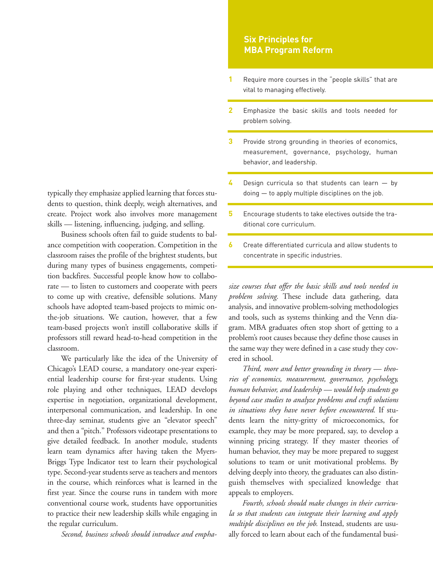typically they emphasize applied learning that forces students to question, think deeply, weigh alternatives, and create. Project work also involves more management skills — listening, influencing, judging, and selling.

Business schools often fail to guide students to balance competition with cooperation. Competition in the classroom raises the profile of the brightest students, but during many types of business engagements, competition backfires. Successful people know how to collaborate — to listen to customers and cooperate with peers to come up with creative, defensible solutions. Many schools have adopted team-based projects to mimic onthe-job situations. We caution, however, that a few team-based projects won't instill collaborative skills if professors still reward head-to-head competition in the classroom.

We particularly like the idea of the University of Chicago's LEAD course, a mandatory one-year experiential leadership course for first-year students. Using role playing and other techniques, LEAD develops expertise in negotiation, organizational development, interpersonal communication, and leadership. In one three-day seminar, students give an "elevator speech" and then a "pitch." Professors videotape presentations to give detailed feedback. In another module, students learn team dynamics after having taken the Myers-Briggs Type Indicator test to learn their psychological type. Second-year students serve as teachers and mentors in the course, which reinforces what is learned in the first year. Since the course runs in tandem with more conventional course work, students have opportunities to practice their new leadership skills while engaging in the regular curriculum.

*Second, business schools should introduce and empha-*

# **Six Principles for MBA Program Reform**

- Require more courses in the "people skills" that are vital to managing effectively. **1**
- Emphasize the basic skills and tools needed for problem solving. **2**
- Provide strong grounding in theories of economics, measurement, governance, psychology, human behavior, and leadership. **3**
- Design curricula so that students can learn  $-$  by doing — to apply multiple disciplines on the job. **4**
- Encourage students to take electives outside the traditional core curriculum. **5**
- Create differentiated curricula and allow students to concentrate in specific industries. **6**

*size courses that offer the basic skills and tools needed in problem solving.* These include data gathering, data analysis, and innovative problem-solving methodologies and tools, such as systems thinking and the Venn diagram. MBA graduates often stop short of getting to a problem's root causes because they define those causes in the same way they were defined in a case study they covered in school.

*Third, more and better grounding in theory — theories of economics, measurement, governance, psychology, human behavior, and leadership — would help students go beyond case studies to analyze problems and craft solutions in situations they have never before encountered.* If students learn the nitty-gritty of microeconomics, for example, they may be more prepared, say, to develop a winning pricing strategy. If they master theories of human behavior, they may be more prepared to suggest solutions to team or unit motivational problems. By delving deeply into theory, the graduates can also distinguish themselves with specialized knowledge that appeals to employers.

*Fourth, schools should make changes in their curricula so that students can integrate their learning and apply multiple disciplines on the job.* Instead, students are usually forced to learn about each of the fundamental busi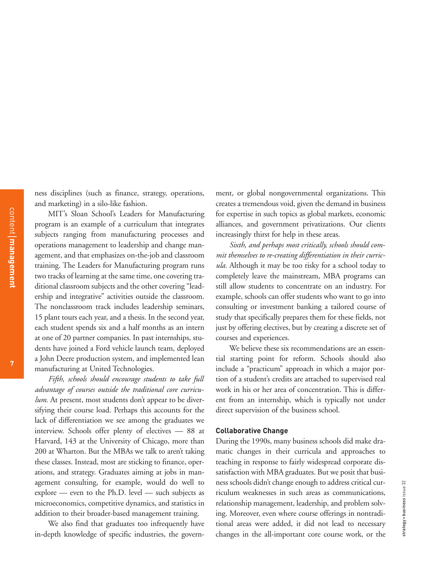ness disciplines (such as finance, strategy, operations, and marketing) in a silo-like fashion.

MIT's Sloan School's Leaders for Manufacturing program is an example of a curriculum that integrates subjects ranging from manufacturing processes and operations management to leadership and change management, and that emphasizes on-the-job and classroom training. The Leaders for Manufacturing program runs two tracks of learning at the same time, one covering traditional classroom subjects and the other covering "leadership and integrative" activities outside the classroom. The nonclassroom track includes leadership seminars, 15 plant tours each year, and a thesis. In the second year, each student spends six and a half months as an intern at one of 20 partner companies. In past internships, students have joined a Ford vehicle launch team, deployed a John Deere production system, and implemented lean manufacturing at United Technologies.

*Fifth, schools should encourage students to take full advantage of courses outside the traditional core curriculum.* At present, most students don't appear to be diversifying their course load. Perhaps this accounts for the lack of differentiation we see among the graduates we interview. Schools offer plenty of electives — 88 at Harvard, 143 at the University of Chicago, more than 200 at Wharton. But the MBAs we talk to aren't taking these classes. Instead, most are sticking to finance, operations, and strategy. Graduates aiming at jobs in management consulting, for example, would do well to explore — even to the Ph.D. level — such subjects as microeconomics, competitive dynamics, and statistics in addition to their broader-based management training.

We also find that graduates too infrequently have in-depth knowledge of specific industries, the govern-

ment, or global nongovernmental organizations. This creates a tremendous void, given the demand in business for expertise in such topics as global markets, economic alliances, and government privatizations. Our clients increasingly thirst for help in these areas.

*Sixth, and perhaps most critically, schools should commit themselves to re-creating differentiation in their curricula.* Although it may be too risky for a school today to completely leave the mainstream, MBA programs can still allow students to concentrate on an industry. For example, schools can offer students who want to go into consulting or investment banking a tailored course of study that specifically prepares them for these fields, not just by offering electives, but by creating a discrete set of courses and experiences.

We believe these six recommendations are an essential starting point for reform. Schools should also include a "practicum" approach in which a major portion of a student's credits are attached to supervised real work in his or her area of concentration. This is different from an internship, which is typically not under direct supervision of the business school.

## **Collaborative Change**

During the 1990s, many business schools did make dramatic changes in their curricula and approaches to teaching in response to fairly widespread corporate dissatisfaction with MBA graduates. But we posit that business schools didn't change enough to address critical curriculum weaknesses in such areas as communications, relationship management, leadership, and problem solving. Moreover, even where course offerings in nontraditional areas were added, it did not lead to necessary changes in the all-important core course work, or the